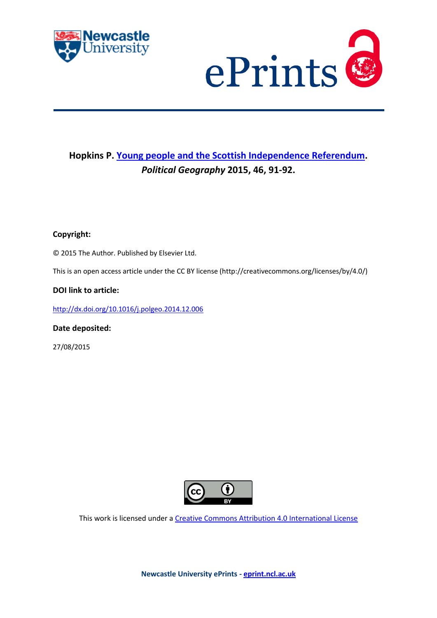



# **Hopkins P. [Young people and the Scottish Independence Referendum.](javascript:ViewPublication(208766);)** *Political Geography* **2015, 46, 91-92.**

## **Copyright:**

© 2015 The Author. Published by Elsevier Ltd.

This is an open access article under the CC BY license (http://creativecommons.org/licenses/by/4.0/)

### **DOI link to article:**

<http://dx.doi.org/10.1016/j.polgeo.2014.12.006>

**Date deposited:** 

27/08/2015



This work is licensed under [a Creative Commons Attribution 4.0 International License](http://creativecommons.org/licenses/by/4.0/)

**Newcastle University ePrints - [eprint.ncl.ac.uk](http://eprint.ncl.ac.uk/)**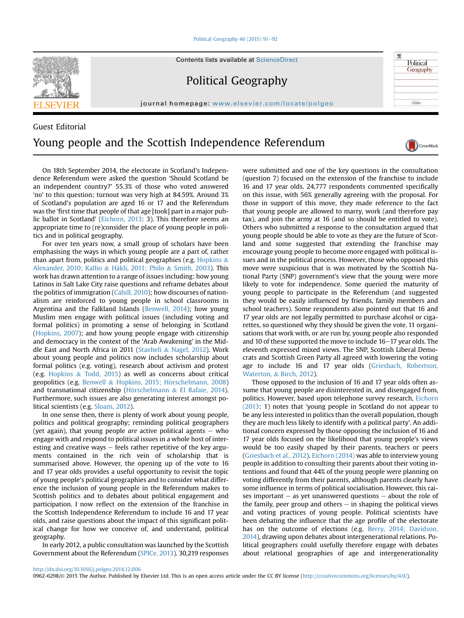[Political Geography 46 \(2015\) 91](http://dx.doi.org/10.1016/j.polgeo.2014.12.006)-[92](http://dx.doi.org/10.1016/j.polgeo.2014.12.006)



Contents lists available at ScienceDirect

Political Geography

journal homepage: [www.elsevier.com/locate/polgeo](http://www.elsevier.com/locate/polgeo)

## Guest Editorial Young people and the Scottish Independence Referendum



Political Geography

.<br>Savo

围

On 18th September 2014, the electorate in Scotland's Independence Referendum were asked the question 'Should Scotland be an independent country?' 55.3% of those who voted answered 'no' to this question; turnout was very high at 84.59%. Around 3% of Scotland's population are aged 16 or 17 and the Referendum was the 'first time that people of that age [took] part in a major public ballot in Scotland' ([Eichorn, 2013](#page-2-0): 3). This therefore seems an appropriate time to (re)consider the place of young people in politics and in political geography.

For over ten years now, a small group of scholars have been emphasising the ways in which young people are a part of, rather than apart from, politics and political geographies (e.g. [Hopkins](#page-2-0)  $\&$ [Alexander, 2010; Kallio](#page-2-0) & Häkli, 2011; Philo & [Smith, 2003](#page-2-0)). This work has drawn attention to a range of issues including: how young Latinos in Salt Lake City raise questions and reframe debates about the politics of immigration ([Cahill, 2010\)](#page-2-0); how discourses of nationalism are reinforced to young people in school classrooms in Argentina and the Falkland Islands [\(Benwell, 2014](#page-2-0)); how young Muslim men engage with political issues (including voting and formal politics) in promoting a sense of belonging in Scotland ([Hopkins, 2007\)](#page-2-0); and how young people engage with citizenship and democracy in the context of the 'Arab Awakening' in the Middle East and North Africa in 2011 ([Staeheli](#page-2-0) & [Nagel, 2012\)](#page-2-0). Work about young people and politics now includes scholarship about formal politics (e.g. voting), research about activism and protest (e.g. [Hopkins](#page-2-0) & [Todd, 2015\)](#page-2-0) as well as concerns about critical geopolitics (e.g. [Benwell](#page-2-0) & Hopkins, 2015; Hörschelmann, 2008) and transnational citizenship [\(H](#page-2-0)ö[rschelmann](#page-2-0)  $\&$  [El Rafaie, 2014\)](#page-2-0). Furthermore, such issues are also generating interest amongst political scientists (e.g. [Sloam, 2012](#page-2-0)).

In one sense then, there is plenty of work about young people, politics and political geography; reminding political geographers (yet again), that young people are active political agents  $-$  who engage with and respond to political issues in a whole host of interesting and creative ways  $-$  feels rather repetitive of the key arguments contained in the rich vein of scholarship that is summarised above. However, the opening up of the vote to 16 and 17 year olds provides a useful opportunity to revisit the topic of young people's political geographies and to consider what difference the inclusion of young people in the Referendum makes to Scottish politics and to debates about political engagement and participation. I now reflect on the extension of the franchise in the Scottish Independence Referendum to include 16 and 17 year olds, and raise questions about the impact of this significant political change for how we conceive of, and understand, political geography.

In early 2012, a public consultation was launched by the Scottish Government about the Referendum [\(SPICe, 2013\)](#page-2-0). 30,219 responses were submitted and one of the key questions in the consultation (question 7) focused on the extension of the franchise to include 16 and 17 year olds. 24,777 respondents commented specifically on this issue, with 56% generally agreeing with the proposal. For those in support of this move, they made reference to the fact that young people are allowed to marry, work (and therefore pay tax), and join the army at 16 (and so should be entitled to vote). Others who submitted a response to the consultation argued that young people should be able to vote as they are the future of Scotland and some suggested that extending the franchise may encourage young people to become more engaged with political issues and in the political process. However, those who opposed this move were suspicious that is was motivated by the Scottish National Party (SNP) government's view that the young were more likely to vote for independence. Some queried the maturity of young people to participate in the Referendum (and suggested they would be easily influenced by friends, family members and school teachers). Some respondents also pointed out that 16 and 17 year olds are not legally permitted to purchase alcohol or cigarettes, so questioned why they should be given the vote. 11 organisations that work with, or are run by, young people also responded and 10 of these supported the move to include  $16-17$  year olds. The eleventh expressed mixed views. The SNP, Scottish Liberal Democrats and Scottish Green Party all agreed with lowering the voting age to include 16 and 17 year olds ([Griesbach, Robertson,](#page-2-0) [Waterton,](#page-2-0) & [Birch, 2012\)](#page-2-0).

Those opposed to the inclusion of 16 and 17 year olds often assume that young people are disinterested in, and disengaged from, politics. However, based upon telephone survey research, [Eichorn](#page-2-0) [\(2013:](#page-2-0) 1) notes that 'young people in Scotland do not appear to be any less interested in politics than the overall population, though they are much less likely to identify with a political party'. An additional concern expressed by those opposing the inclusion of 16 and 17 year olds focused on the likelihood that young people's views would be too easily shaped by their parents, teachers or peers ([Griesbach et al., 2012\)](#page-2-0). [Eichorn \(2014\)](#page-2-0) was able to interview young people in addition to consulting their parents about their voting intentions and found that 44% of the young people were planning on voting differently from their parents, although parents clearly have some influence in terms of political socialisation. However, this raises important  $-$  as yet unanswered questions  $-$  about the role of the family, peer group and others  $-$  in shaping the political views and voting practices of young people. Political scientists have been debating the influence that the age profile of the electorate has on the outcome of elections (e.g. [Berry, 2014; Davidson,](#page-2-0) [2014\)](#page-2-0), drawing upon debates about intergenerational relations. Political geographers could usefully therefore engage with debates about relational geographies of age and intergenerationality

0962-6298/© 2015 The Author. Published by Elsevier Ltd. This is an open access article under the CC BY license ([http://creativecommons.org/licenses/by/4.0/\)](http://creativecommons.org/licenses/by/4.�0/).